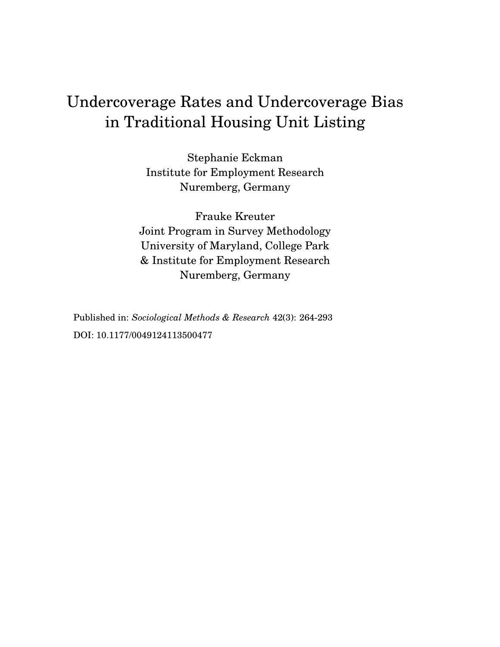# Undercoverage Rates and Undercoverage Bias in Traditional Housing Unit Listing

Stephanie Eckman Institute for Employment Research Nuremberg, Germany

Frauke Kreuter Joint Program in Survey Methodology University of Maryland, College Park & Institute for Employment Research Nuremberg, Germany

Published in: *Sociological Methods & Research* 42(3): 264-293 DOI: 10.1177/0049124113500477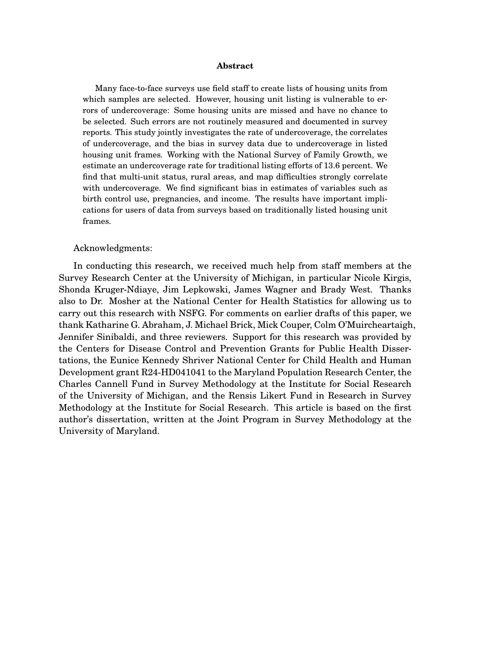#### **Abstract**

Many face-to-face surveys use field staff to create lists of housing units from which samples are selected. However, housing unit listing is vulnerable to errors of undercoverage: Some housing units are missed and have no chance to be selected. Such errors are not routinely measured and documented in survey reports. This study jointly investigates the rate of undercoverage, the correlates of undercoverage, and the bias in survey data due to undercoverage in listed housing unit frames. Working with the National Survey of Family Growth, we estimate an undercoverage rate for traditional listing efforts of 13.6 percent. We find that multi-unit status, rural areas, and map difficulties strongly correlate with undercoverage. We find significant bias in estimates of variables such as birth control use, pregnancies, and income. The results have important implications for users of data from surveys based on traditionally listed housing unit frames.

#### Acknowledgments:

In conducting this research, we received much help from staff members at the Survey Research Center at the University of Michigan, in particular Nicole Kirgis, Shonda Kruger-Ndiaye, Jim Lepkowski, James Wagner and Brady West. Thanks also to Dr. Mosher at the National Center for Health Statistics for allowing us to carry out this research with NSFG. For comments on earlier drafts of this paper, we thank Katharine G. Abraham, J. Michael Brick, Mick Couper, Colm O'Muircheartaigh, Jennifer Sinibaldi, and three reviewers. Support for this research was provided by the Centers for Disease Control and Prevention Grants for Public Health Dissertations, the Eunice Kennedy Shriver National Center for Child Health and Human Development grant R24-HD041041 to the Maryland Population Research Center, the Charles Cannell Fund in Survey Methodology at the Institute for Social Research of the University of Michigan, and the Rensis Likert Fund in Research in Survey Methodology at the Institute for Social Research. This article is based on the first author's dissertation, written at the Joint Program in Survey Methodology at the University of Maryland.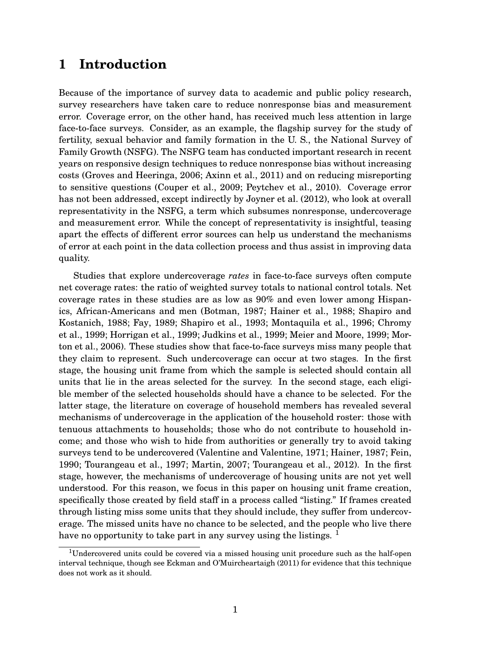# **1 Introduction**

Because of the importance of survey data to academic and public policy research, survey researchers have taken care to reduce nonresponse bias and measurement error. Coverage error, on the other hand, has received much less attention in large face-to-face surveys. Consider, as an example, the flagship survey for the study of fertility, sexual behavior and family formation in the U. S., the National Survey of Family Growth (NSFG). The NSFG team has conducted important research in recent years on responsive design techniques to reduce nonresponse bias without increasing costs (Groves and Heeringa, 2006; Axinn et al., 2011) and on reducing misreporting to sensitive questions (Couper et al., 2009; Peytchev et al., 2010). Coverage error has not been addressed, except indirectly by Joyner et al. (2012), who look at overall representativity in the NSFG, a term which subsumes nonresponse, undercoverage and measurement error. While the concept of representativity is insightful, teasing apart the effects of different error sources can help us understand the mechanisms of error at each point in the data collection process and thus assist in improving data quality.

Studies that explore undercoverage *rates* in face-to-face surveys often compute net coverage rates: the ratio of weighted survey totals to national control totals. Net coverage rates in these studies are as low as 90% and even lower among Hispanics, African-Americans and men (Botman, 1987; Hainer et al., 1988; Shapiro and Kostanich, 1988; Fay, 1989; Shapiro et al., 1993; Montaquila et al., 1996; Chromy et al., 1999; Horrigan et al., 1999; Judkins et al., 1999; Meier and Moore, 1999; Morton et al., 2006). These studies show that face-to-face surveys miss many people that they claim to represent. Such undercoverage can occur at two stages. In the first stage, the housing unit frame from which the sample is selected should contain all units that lie in the areas selected for the survey. In the second stage, each eligible member of the selected households should have a chance to be selected. For the latter stage, the literature on coverage of household members has revealed several mechanisms of undercoverage in the application of the household roster: those with tenuous attachments to households; those who do not contribute to household income; and those who wish to hide from authorities or generally try to avoid taking surveys tend to be undercovered (Valentine and Valentine, 1971; Hainer, 1987; Fein, 1990; Tourangeau et al., 1997; Martin, 2007; Tourangeau et al., 2012). In the first stage, however, the mechanisms of undercoverage of housing units are not yet well understood. For this reason, we focus in this paper on housing unit frame creation, specifically those created by field staff in a process called "listing." If frames created through listing miss some units that they should include, they suffer from undercoverage. The missed units have no chance to be selected, and the people who live there have no opportunity to take part in any survey using the listings.  $<sup>1</sup>$ </sup>

<sup>&</sup>lt;sup>1</sup>Undercovered units could be covered via a missed housing unit procedure such as the half-open interval technique, though see Eckman and O'Muircheartaigh (2011) for evidence that this technique does not work as it should.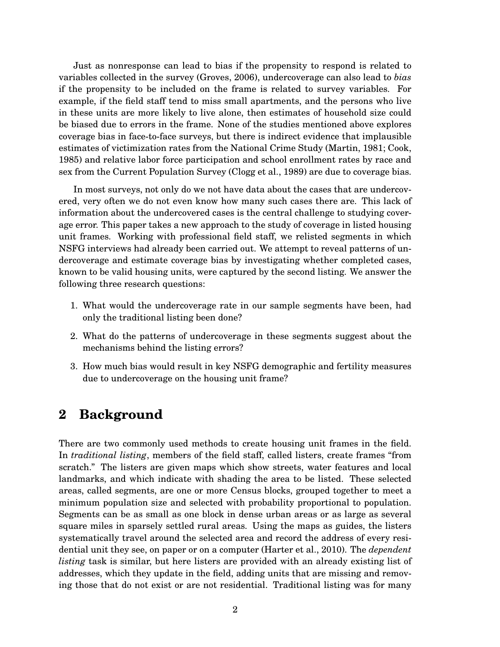Just as nonresponse can lead to bias if the propensity to respond is related to variables collected in the survey (Groves, 2006), undercoverage can also lead to *bias* if the propensity to be included on the frame is related to survey variables. For example, if the field staff tend to miss small apartments, and the persons who live in these units are more likely to live alone, then estimates of household size could be biased due to errors in the frame. None of the studies mentioned above explores coverage bias in face-to-face surveys, but there is indirect evidence that implausible estimates of victimization rates from the National Crime Study (Martin, 1981; Cook, 1985) and relative labor force participation and school enrollment rates by race and sex from the Current Population Survey (Clogg et al., 1989) are due to coverage bias.

In most surveys, not only do we not have data about the cases that are undercovered, very often we do not even know how many such cases there are. This lack of information about the undercovered cases is the central challenge to studying coverage error. This paper takes a new approach to the study of coverage in listed housing unit frames. Working with professional field staff, we relisted segments in which NSFG interviews had already been carried out. We attempt to reveal patterns of undercoverage and estimate coverage bias by investigating whether completed cases, known to be valid housing units, were captured by the second listing. We answer the following three research questions:

- 1. What would the undercoverage rate in our sample segments have been, had only the traditional listing been done?
- 2. What do the patterns of undercoverage in these segments suggest about the mechanisms behind the listing errors?
- 3. How much bias would result in key NSFG demographic and fertility measures due to undercoverage on the housing unit frame?

## **2 Background**

There are two commonly used methods to create housing unit frames in the field. In *traditional listing*, members of the field staff, called listers, create frames "from scratch." The listers are given maps which show streets, water features and local landmarks, and which indicate with shading the area to be listed. These selected areas, called segments, are one or more Census blocks, grouped together to meet a minimum population size and selected with probability proportional to population. Segments can be as small as one block in dense urban areas or as large as several square miles in sparsely settled rural areas. Using the maps as guides, the listers systematically travel around the selected area and record the address of every residential unit they see, on paper or on a computer (Harter et al., 2010). The *dependent listing* task is similar, but here listers are provided with an already existing list of addresses, which they update in the field, adding units that are missing and removing those that do not exist or are not residential. Traditional listing was for many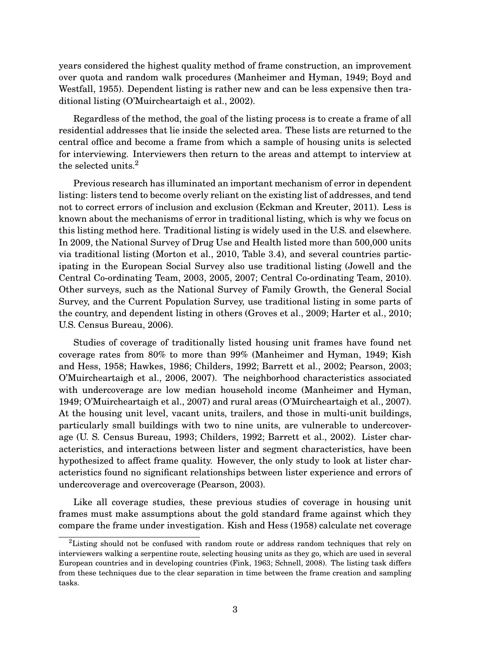years considered the highest quality method of frame construction, an improvement over quota and random walk procedures (Manheimer and Hyman, 1949; Boyd and Westfall, 1955). Dependent listing is rather new and can be less expensive then traditional listing (O'Muircheartaigh et al., 2002).

Regardless of the method, the goal of the listing process is to create a frame of all residential addresses that lie inside the selected area. These lists are returned to the central office and become a frame from which a sample of housing units is selected for interviewing. Interviewers then return to the areas and attempt to interview at the selected units.<sup>2</sup>

Previous research has illuminated an important mechanism of error in dependent listing: listers tend to become overly reliant on the existing list of addresses, and tend not to correct errors of inclusion and exclusion (Eckman and Kreuter, 2011). Less is known about the mechanisms of error in traditional listing, which is why we focus on this listing method here. Traditional listing is widely used in the U.S. and elsewhere. In 2009, the National Survey of Drug Use and Health listed more than 500,000 units via traditional listing (Morton et al., 2010, Table 3.4), and several countries participating in the European Social Survey also use traditional listing (Jowell and the Central Co-ordinating Team, 2003, 2005, 2007; Central Co-ordinating Team, 2010). Other surveys, such as the National Survey of Family Growth, the General Social Survey, and the Current Population Survey, use traditional listing in some parts of the country, and dependent listing in others (Groves et al., 2009; Harter et al., 2010; U.S. Census Bureau, 2006).

Studies of coverage of traditionally listed housing unit frames have found net coverage rates from 80% to more than 99% (Manheimer and Hyman, 1949; Kish and Hess, 1958; Hawkes, 1986; Childers, 1992; Barrett et al., 2002; Pearson, 2003; O'Muircheartaigh et al., 2006, 2007). The neighborhood characteristics associated with undercoverage are low median household income (Manheimer and Hyman, 1949; O'Muircheartaigh et al., 2007) and rural areas (O'Muircheartaigh et al., 2007). At the housing unit level, vacant units, trailers, and those in multi-unit buildings, particularly small buildings with two to nine units, are vulnerable to undercoverage (U. S. Census Bureau, 1993; Childers, 1992; Barrett et al., 2002). Lister characteristics, and interactions between lister and segment characteristics, have been hypothesized to affect frame quality. However, the only study to look at lister characteristics found no significant relationships between lister experience and errors of undercoverage and overcoverage (Pearson, 2003).

Like all coverage studies, these previous studies of coverage in housing unit frames must make assumptions about the gold standard frame against which they compare the frame under investigation. Kish and Hess (1958) calculate net coverage

<sup>&</sup>lt;sup>2</sup>Listing should not be confused with random route or address random techniques that rely on interviewers walking a serpentine route, selecting housing units as they go, which are used in several European countries and in developing countries (Fink, 1963; Schnell, 2008). The listing task differs from these techniques due to the clear separation in time between the frame creation and sampling tasks.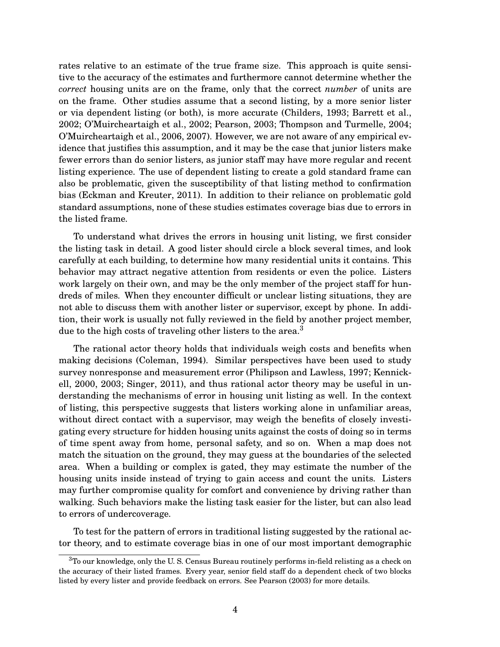rates relative to an estimate of the true frame size. This approach is quite sensitive to the accuracy of the estimates and furthermore cannot determine whether the *correct* housing units are on the frame, only that the correct *number* of units are on the frame. Other studies assume that a second listing, by a more senior lister or via dependent listing (or both), is more accurate (Childers, 1993; Barrett et al., 2002; O'Muircheartaigh et al., 2002; Pearson, 2003; Thompson and Turmelle, 2004; O'Muircheartaigh et al., 2006, 2007). However, we are not aware of any empirical evidence that justifies this assumption, and it may be the case that junior listers make fewer errors than do senior listers, as junior staff may have more regular and recent listing experience. The use of dependent listing to create a gold standard frame can also be problematic, given the susceptibility of that listing method to confirmation bias (Eckman and Kreuter, 2011). In addition to their reliance on problematic gold standard assumptions, none of these studies estimates coverage bias due to errors in the listed frame.

To understand what drives the errors in housing unit listing, we first consider the listing task in detail. A good lister should circle a block several times, and look carefully at each building, to determine how many residential units it contains. This behavior may attract negative attention from residents or even the police. Listers work largely on their own, and may be the only member of the project staff for hundreds of miles. When they encounter difficult or unclear listing situations, they are not able to discuss them with another lister or supervisor, except by phone. In addition, their work is usually not fully reviewed in the field by another project member, due to the high costs of traveling other listers to the area.<sup>3</sup>

The rational actor theory holds that individuals weigh costs and benefits when making decisions (Coleman, 1994). Similar perspectives have been used to study survey nonresponse and measurement error (Philipson and Lawless, 1997; Kennickell, 2000, 2003; Singer, 2011), and thus rational actor theory may be useful in understanding the mechanisms of error in housing unit listing as well. In the context of listing, this perspective suggests that listers working alone in unfamiliar areas, without direct contact with a supervisor, may weigh the benefits of closely investigating every structure for hidden housing units against the costs of doing so in terms of time spent away from home, personal safety, and so on. When a map does not match the situation on the ground, they may guess at the boundaries of the selected area. When a building or complex is gated, they may estimate the number of the housing units inside instead of trying to gain access and count the units. Listers may further compromise quality for comfort and convenience by driving rather than walking. Such behaviors make the listing task easier for the lister, but can also lead to errors of undercoverage.

To test for the pattern of errors in traditional listing suggested by the rational actor theory, and to estimate coverage bias in one of our most important demographic

<sup>&</sup>lt;sup>3</sup>To our knowledge, only the U.S. Census Bureau routinely performs in-field relisting as a check on the accuracy of their listed frames. Every year, senior field staff do a dependent check of two blocks listed by every lister and provide feedback on errors. See Pearson (2003) for more details.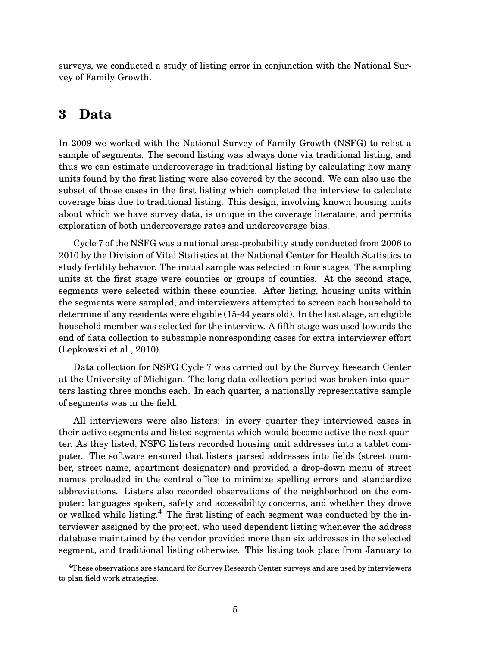surveys, we conducted a study of listing error in conjunction with the National Survey of Family Growth.

### **3 Data**

In 2009 we worked with the National Survey of Family Growth (NSFG) to relist a sample of segments. The second listing was always done via traditional listing, and thus we can estimate undercoverage in traditional listing by calculating how many units found by the first listing were also covered by the second. We can also use the subset of those cases in the first listing which completed the interview to calculate coverage bias due to traditional listing. This design, involving known housing units about which we have survey data, is unique in the coverage literature, and permits exploration of both undercoverage rates and undercoverage bias.

Cycle 7 of the NSFG was a national area-probability study conducted from 2006 to 2010 by the Division of Vital Statistics at the National Center for Health Statistics to study fertility behavior. The initial sample was selected in four stages. The sampling units at the first stage were counties or groups of counties. At the second stage, segments were selected within these counties. After listing, housing units within the segments were sampled, and interviewers attempted to screen each household to determine if any residents were eligible (15-44 years old). In the last stage, an eligible household member was selected for the interview. A fifth stage was used towards the end of data collection to subsample nonresponding cases for extra interviewer effort (Lepkowski et al., 2010).

Data collection for NSFG Cycle 7 was carried out by the Survey Research Center at the University of Michigan. The long data collection period was broken into quarters lasting three months each. In each quarter, a nationally representative sample of segments was in the field.

All interviewers were also listers: in every quarter they interviewed cases in their active segments and listed segments which would become active the next quarter. As they listed, NSFG listers recorded housing unit addresses into a tablet computer. The software ensured that listers parsed addresses into fields (street number, street name, apartment designator) and provided a drop-down menu of street names preloaded in the central office to minimize spelling errors and standardize abbreviations. Listers also recorded observations of the neighborhood on the computer: languages spoken, safety and accessibility concerns, and whether they drove or walked while listing.<sup>4</sup> The first listing of each segment was conducted by the interviewer assigned by the project, who used dependent listing whenever the address database maintained by the vendor provided more than six addresses in the selected segment, and traditional listing otherwise. This listing took place from January to

<sup>&</sup>lt;sup>4</sup>These observations are standard for Survey Research Center surveys and are used by interviewers to plan field work strategies.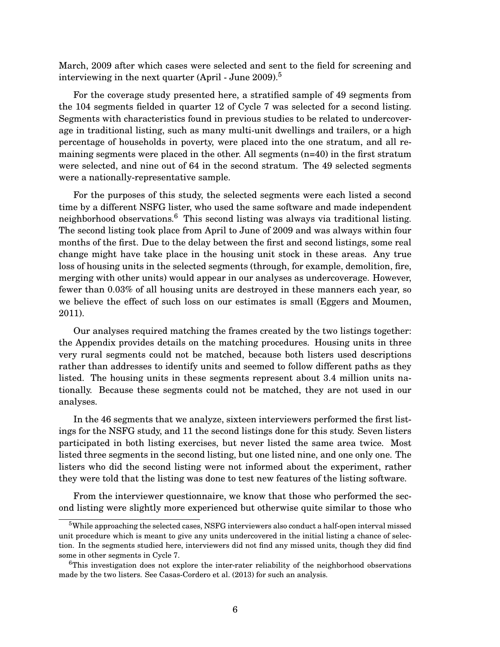March, 2009 after which cases were selected and sent to the field for screening and interviewing in the next quarter (April - June  $2009$ ).<sup>5</sup>

For the coverage study presented here, a stratified sample of 49 segments from the 104 segments fielded in quarter 12 of Cycle 7 was selected for a second listing. Segments with characteristics found in previous studies to be related to undercoverage in traditional listing, such as many multi-unit dwellings and trailers, or a high percentage of households in poverty, were placed into the one stratum, and all remaining segments were placed in the other. All segments (n=40) in the first stratum were selected, and nine out of 64 in the second stratum. The 49 selected segments were a nationally-representative sample.

For the purposes of this study, the selected segments were each listed a second time by a different NSFG lister, who used the same software and made independent neighborhood observations.<sup>6</sup> This second listing was always via traditional listing. The second listing took place from April to June of 2009 and was always within four months of the first. Due to the delay between the first and second listings, some real change might have take place in the housing unit stock in these areas. Any true loss of housing units in the selected segments (through, for example, demolition, fire, merging with other units) would appear in our analyses as undercoverage. However, fewer than 0.03% of all housing units are destroyed in these manners each year, so we believe the effect of such loss on our estimates is small (Eggers and Moumen, 2011).

Our analyses required matching the frames created by the two listings together: the Appendix provides details on the matching procedures. Housing units in three very rural segments could not be matched, because both listers used descriptions rather than addresses to identify units and seemed to follow different paths as they listed. The housing units in these segments represent about 3.4 million units nationally. Because these segments could not be matched, they are not used in our analyses.

In the 46 segments that we analyze, sixteen interviewers performed the first listings for the NSFG study, and 11 the second listings done for this study. Seven listers participated in both listing exercises, but never listed the same area twice. Most listed three segments in the second listing, but one listed nine, and one only one. The listers who did the second listing were not informed about the experiment, rather they were told that the listing was done to test new features of the listing software.

From the interviewer questionnaire, we know that those who performed the second listing were slightly more experienced but otherwise quite similar to those who

<sup>&</sup>lt;sup>5</sup>While approaching the selected cases, NSFG interviewers also conduct a half-open interval missed unit procedure which is meant to give any units undercovered in the initial listing a chance of selection. In the segments studied here, interviewers did not find any missed units, though they did find some in other segments in Cycle 7.

<sup>&</sup>lt;sup>6</sup>This investigation does not explore the inter-rater reliability of the neighborhood observations made by the two listers. See Casas-Cordero et al. (2013) for such an analysis.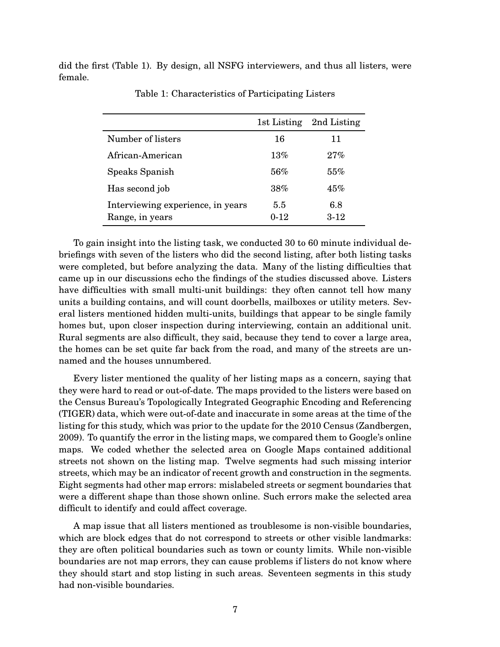did the first (Table 1). By design, all NSFG interviewers, and thus all listers, were female.

|                                                      | 1st Listing     | 2nd Listing   |
|------------------------------------------------------|-----------------|---------------|
| Number of listers                                    | 16              | 11            |
| African-American                                     | $13\%$          | 27%           |
| Speaks Spanish                                       | 56%             | 55%           |
| Has second job                                       | 38%             | 45%           |
| Interviewing experience, in years<br>Range, in years | 5.5<br>$0 - 12$ | 6.8<br>$3-12$ |

Table 1: Characteristics of Participating Listers

To gain insight into the listing task, we conducted 30 to 60 minute individual debriefings with seven of the listers who did the second listing, after both listing tasks were completed, but before analyzing the data. Many of the listing difficulties that came up in our discussions echo the findings of the studies discussed above. Listers have difficulties with small multi-unit buildings: they often cannot tell how many units a building contains, and will count doorbells, mailboxes or utility meters. Several listers mentioned hidden multi-units, buildings that appear to be single family homes but, upon closer inspection during interviewing, contain an additional unit. Rural segments are also difficult, they said, because they tend to cover a large area, the homes can be set quite far back from the road, and many of the streets are unnamed and the houses unnumbered.

Every lister mentioned the quality of her listing maps as a concern, saying that they were hard to read or out-of-date. The maps provided to the listers were based on the Census Bureau's Topologically Integrated Geographic Encoding and Referencing (TIGER) data, which were out-of-date and inaccurate in some areas at the time of the listing for this study, which was prior to the update for the 2010 Census (Zandbergen, 2009). To quantify the error in the listing maps, we compared them to Google's online maps. We coded whether the selected area on Google Maps contained additional streets not shown on the listing map. Twelve segments had such missing interior streets, which may be an indicator of recent growth and construction in the segments. Eight segments had other map errors: mislabeled streets or segment boundaries that were a different shape than those shown online. Such errors make the selected area difficult to identify and could affect coverage.

A map issue that all listers mentioned as troublesome is non-visible boundaries, which are block edges that do not correspond to streets or other visible landmarks: they are often political boundaries such as town or county limits. While non-visible boundaries are not map errors, they can cause problems if listers do not know where they should start and stop listing in such areas. Seventeen segments in this study had non-visible boundaries.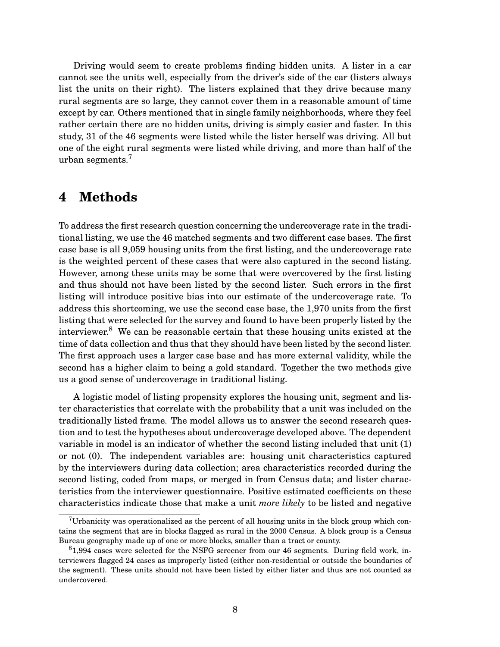Driving would seem to create problems finding hidden units. A lister in a car cannot see the units well, especially from the driver's side of the car (listers always list the units on their right). The listers explained that they drive because many rural segments are so large, they cannot cover them in a reasonable amount of time except by car. Others mentioned that in single family neighborhoods, where they feel rather certain there are no hidden units, driving is simply easier and faster. In this study, 31 of the 46 segments were listed while the lister herself was driving. All but one of the eight rural segments were listed while driving, and more than half of the urban segments.<sup>7</sup>

### **4 Methods**

To address the first research question concerning the undercoverage rate in the traditional listing, we use the 46 matched segments and two different case bases. The first case base is all 9,059 housing units from the first listing, and the undercoverage rate is the weighted percent of these cases that were also captured in the second listing. However, among these units may be some that were overcovered by the first listing and thus should not have been listed by the second lister. Such errors in the first listing will introduce positive bias into our estimate of the undercoverage rate. To address this shortcoming, we use the second case base, the 1,970 units from the first listing that were selected for the survey and found to have been properly listed by the interviewer. $8$  We can be reasonable certain that these housing units existed at the time of data collection and thus that they should have been listed by the second lister. The first approach uses a larger case base and has more external validity, while the second has a higher claim to being a gold standard. Together the two methods give us a good sense of undercoverage in traditional listing.

A logistic model of listing propensity explores the housing unit, segment and lister characteristics that correlate with the probability that a unit was included on the traditionally listed frame. The model allows us to answer the second research question and to test the hypotheses about undercoverage developed above. The dependent variable in model is an indicator of whether the second listing included that unit (1) or not (0). The independent variables are: housing unit characteristics captured by the interviewers during data collection; area characteristics recorded during the second listing, coded from maps, or merged in from Census data; and lister characteristics from the interviewer questionnaire. Positive estimated coefficients on these characteristics indicate those that make a unit *more likely* to be listed and negative

<sup>&</sup>lt;sup>7</sup>Urbanicity was operationalized as the percent of all housing units in the block group which contains the segment that are in blocks flagged as rural in the 2000 Census. A block group is a Census Bureau geography made up of one or more blocks, smaller than a tract or county.

<sup>8</sup>1,994 cases were selected for the NSFG screener from our 46 segments. During field work, interviewers flagged 24 cases as improperly listed (either non-residential or outside the boundaries of the segment). These units should not have been listed by either lister and thus are not counted as undercovered.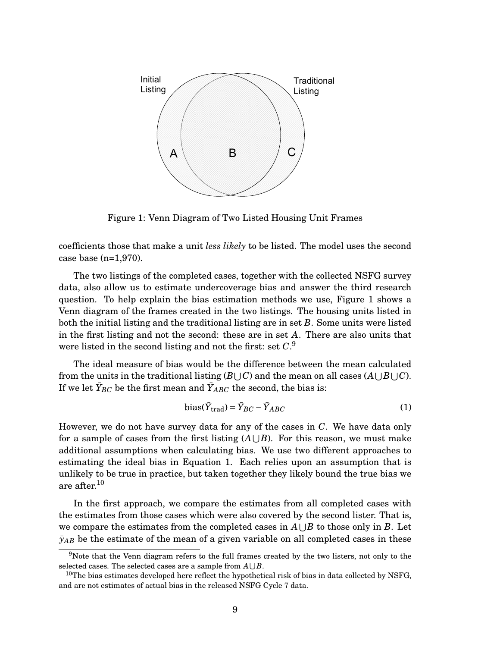

Figure 1: Venn Diagram of Two Listed Housing Unit Frames

coefficients those that make a unit *less likely* to be listed. The model uses the second case base (n=1,970).

The two listings of the completed cases, together with the collected NSFG survey data, also allow us to estimate undercoverage bias and answer the third research question. To help explain the bias estimation methods we use, Figure 1 shows a Venn diagram of the frames created in the two listings. The housing units listed in both the initial listing and the traditional listing are in set *B*. Some units were listed in the first listing and not the second: these are in set *A*. There are also units that were listed in the second listing and not the first: set *C*. 9

The ideal measure of bias would be the difference between the mean calculated from the units in the traditional listing ( $B\bigcup C$ ) and the mean on all cases ( $A\bigcup B\bigcup C$ ). If we let  $\bar{Y}_{BC}$  be the first mean and  $\bar{Y}_{ABC}$  the second, the bias is:

bias(
$$
\bar{Y}_{\text{trad}} = \bar{Y}_{BC} - \bar{Y}_{ABC}
$$
 (1)

However, we do not have survey data for any of the cases in *C*. We have data only for a sample of cases from the first listing  $(A \cup B)$ . For this reason, we must make additional assumptions when calculating bias. We use two different approaches to estimating the ideal bias in Equation 1. Each relies upon an assumption that is unlikely to be true in practice, but taken together they likely bound the true bias we are after.<sup>10</sup>

In the first approach, we compare the estimates from all completed cases with the estimates from those cases which were also covered by the second lister. That is, we compare the estimates from the completed cases in  $A \cup B$  to those only in *B*. Let  $\bar{y}_{AB}$  be the estimate of the mean of a given variable on all completed cases in these

<sup>9</sup>Note that the Venn diagram refers to the full frames created by the two listers, not only to the selected cases. The selected cases are a sample from  $A \cup B$ .

 $10$ The bias estimates developed here reflect the hypothetical risk of bias in data collected by NSFG, and are not estimates of actual bias in the released NSFG Cycle 7 data.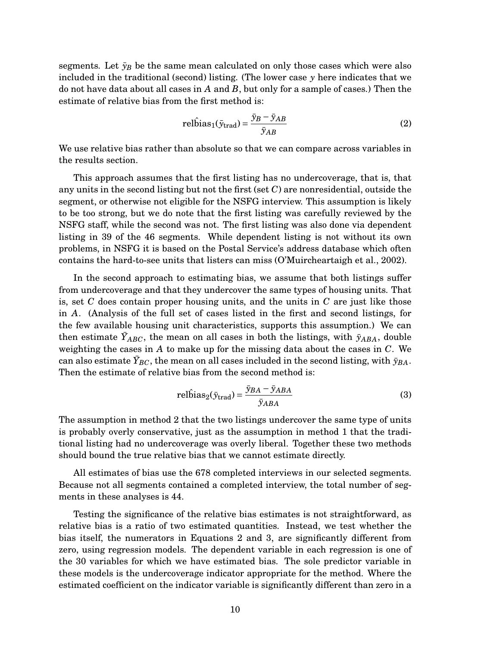segments. Let  $\bar{y}_B$  be the same mean calculated on only those cases which were also included in the traditional (second) listing. (The lower case *y* here indicates that we do not have data about all cases in *A* and *B*, but only for a sample of cases.) Then the estimate of relative bias from the first method is:

$$
rel\hat{\text{bias}}_{1}(\bar{y}_{\text{trad}}) = \frac{\bar{y}_{B} - \bar{y}_{AB}}{\bar{y}_{AB}}
$$
(2)

We use relative bias rather than absolute so that we can compare across variables in the results section.

This approach assumes that the first listing has no undercoverage, that is, that any units in the second listing but not the first (set *C*) are nonresidential, outside the segment, or otherwise not eligible for the NSFG interview. This assumption is likely to be too strong, but we do note that the first listing was carefully reviewed by the NSFG staff, while the second was not. The first listing was also done via dependent listing in 39 of the 46 segments. While dependent listing is not without its own problems, in NSFG it is based on the Postal Service's address database which often contains the hard-to-see units that listers can miss (O'Muircheartaigh et al., 2002).

In the second approach to estimating bias, we assume that both listings suffer from undercoverage and that they undercover the same types of housing units. That is, set *C* does contain proper housing units, and the units in *C* are just like those in *A*. (Analysis of the full set of cases listed in the first and second listings, for the few available housing unit characteristics, supports this assumption.) We can then estimate  $\bar{Y}_{ABC}$ , the mean on all cases in both the listings, with  $\bar{y}_{ABA}$ , double weighting the cases in *A* to make up for the missing data about the cases in *C*. We can also estimate  $\bar{Y}_{BC}$ , the mean on all cases included in the second listing, with  $\bar{y}_{BA}$ . Then the estimate of relative bias from the second method is:

$$
rel\hat{\mathbf{b}}ias_2(\bar{y}_{\text{trad}}) = \frac{\bar{y}_{BA} - \bar{y}_{ABA}}{\bar{y}_{ABA}}
$$
(3)

The assumption in method 2 that the two listings undercover the same type of units is probably overly conservative, just as the assumption in method 1 that the traditional listing had no undercoverage was overly liberal. Together these two methods should bound the true relative bias that we cannot estimate directly.

All estimates of bias use the 678 completed interviews in our selected segments. Because not all segments contained a completed interview, the total number of segments in these analyses is 44.

Testing the significance of the relative bias estimates is not straightforward, as relative bias is a ratio of two estimated quantities. Instead, we test whether the bias itself, the numerators in Equations 2 and 3, are significantly different from zero, using regression models. The dependent variable in each regression is one of the 30 variables for which we have estimated bias. The sole predictor variable in these models is the undercoverage indicator appropriate for the method. Where the estimated coefficient on the indicator variable is significantly different than zero in a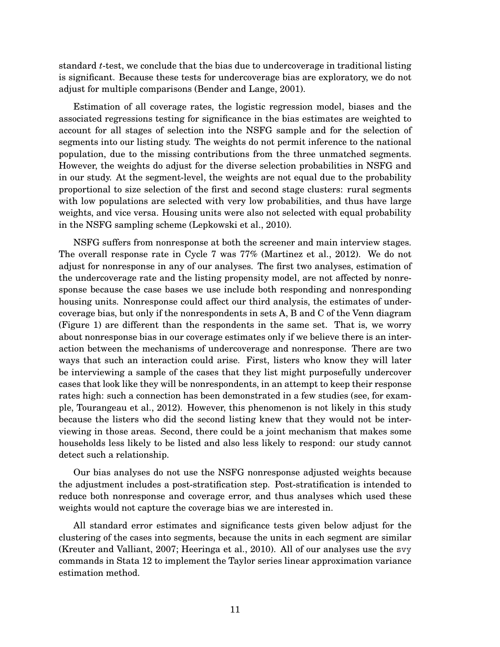standard *t*-test, we conclude that the bias due to undercoverage in traditional listing is significant. Because these tests for undercoverage bias are exploratory, we do not adjust for multiple comparisons (Bender and Lange, 2001).

Estimation of all coverage rates, the logistic regression model, biases and the associated regressions testing for significance in the bias estimates are weighted to account for all stages of selection into the NSFG sample and for the selection of segments into our listing study. The weights do not permit inference to the national population, due to the missing contributions from the three unmatched segments. However, the weights do adjust for the diverse selection probabilities in NSFG and in our study. At the segment-level, the weights are not equal due to the probability proportional to size selection of the first and second stage clusters: rural segments with low populations are selected with very low probabilities, and thus have large weights, and vice versa. Housing units were also not selected with equal probability in the NSFG sampling scheme (Lepkowski et al., 2010).

NSFG suffers from nonresponse at both the screener and main interview stages. The overall response rate in Cycle 7 was 77% (Martinez et al., 2012). We do not adjust for nonresponse in any of our analyses. The first two analyses, estimation of the undercoverage rate and the listing propensity model, are not affected by nonresponse because the case bases we use include both responding and nonresponding housing units. Nonresponse could affect our third analysis, the estimates of undercoverage bias, but only if the nonrespondents in sets A, B and C of the Venn diagram (Figure 1) are different than the respondents in the same set. That is, we worry about nonresponse bias in our coverage estimates only if we believe there is an interaction between the mechanisms of undercoverage and nonresponse. There are two ways that such an interaction could arise. First, listers who know they will later be interviewing a sample of the cases that they list might purposefully undercover cases that look like they will be nonrespondents, in an attempt to keep their response rates high: such a connection has been demonstrated in a few studies (see, for example, Tourangeau et al., 2012). However, this phenomenon is not likely in this study because the listers who did the second listing knew that they would not be interviewing in those areas. Second, there could be a joint mechanism that makes some households less likely to be listed and also less likely to respond: our study cannot detect such a relationship.

Our bias analyses do not use the NSFG nonresponse adjusted weights because the adjustment includes a post-stratification step. Post-stratification is intended to reduce both nonresponse and coverage error, and thus analyses which used these weights would not capture the coverage bias we are interested in.

All standard error estimates and significance tests given below adjust for the clustering of the cases into segments, because the units in each segment are similar (Kreuter and Valliant, 2007; Heeringa et al., 2010). All of our analyses use the svy commands in Stata 12 to implement the Taylor series linear approximation variance estimation method.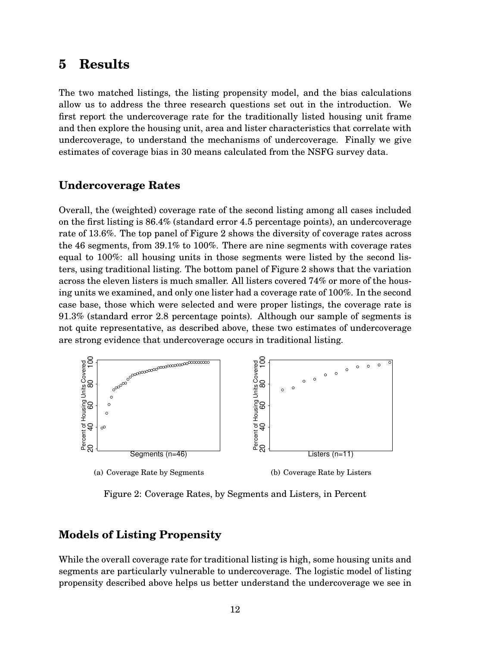# **5 Results**

The two matched listings, the listing propensity model, and the bias calculations allow us to address the three research questions set out in the introduction. We first report the undercoverage rate for the traditionally listed housing unit frame and then explore the housing unit, area and lister characteristics that correlate with undercoverage, to understand the mechanisms of undercoverage. Finally we give estimates of coverage bias in 30 means calculated from the NSFG survey data.

#### **Undercoverage Rates**

Overall, the (weighted) coverage rate of the second listing among all cases included on the first listing is 86.4% (standard error 4.5 percentage points), an undercoverage rate of 13.6%. The top panel of Figure 2 shows the diversity of coverage rates across the 46 segments, from 39.1% to 100%. There are nine segments with coverage rates equal to 100%: all housing units in those segments were listed by the second listers, using traditional listing. The bottom panel of Figure 2 shows that the variation across the eleven listers is much smaller. All listers covered 74% or more of the housing units we examined, and only one lister had a coverage rate of 100%. In the second case base, those which were selected and were proper listings, the coverage rate is 91.3% (standard error 2.8 percentage points). Although our sample of segments is not quite representative, as described above, these two estimates of undercoverage are strong evidence that undercoverage occurs in traditional listing.



Figure 2: Coverage Rates, by Segments and Listers, in Percent

#### **Models of Listing Propensity**

While the overall coverage rate for traditional listing is high, some housing units and segments are particularly vulnerable to undercoverage. The logistic model of listing propensity described above helps us better understand the undercoverage we see in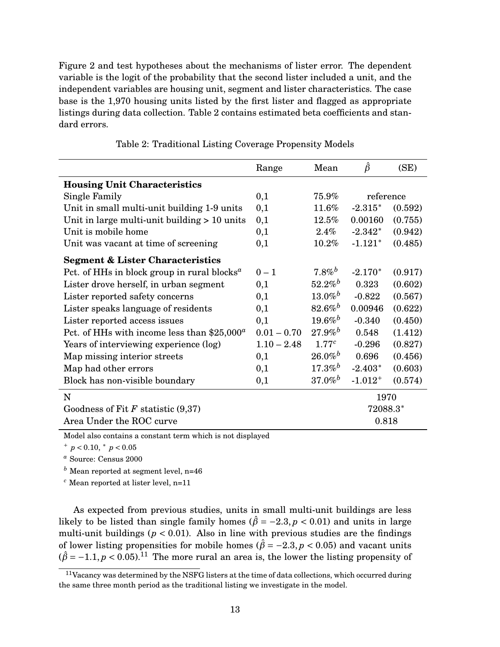Figure 2 and test hypotheses about the mechanisms of lister error. The dependent variable is the logit of the probability that the second lister included a unit, and the independent variables are housing unit, segment and lister characteristics. The case base is the 1,970 housing units listed by the first lister and flagged as appropriate listings during data collection. Table 2 contains estimated beta coefficients and standard errors.

|                                                                      | Range         | Mean                  | $\hat{\beta}$ | (SE)    |
|----------------------------------------------------------------------|---------------|-----------------------|---------------|---------|
| <b>Housing Unit Characteristics</b>                                  |               |                       |               |         |
| Single Family                                                        | 0,1           | 75.9%                 | reference     |         |
| Unit in small multi-unit building 1-9 units                          | 0,1           | 11.6%                 | $-2.315*$     | (0.592) |
| Unit in large multi-unit building $> 10$ units                       | 0,1           | $12.5\%$              | 0.00160       | (0.755) |
| Unit is mobile home                                                  | 0,1           | $2.4\%$               | $-2.342*$     | (0.942) |
| Unit was vacant at time of screening                                 | 0,1           | 10.2%                 | $-1.121*$     | (0.485) |
| <b>Segment &amp; Lister Characteristics</b>                          |               |                       |               |         |
| Pct. of HHs in block group in rural blocks <sup><math>a</math></sup> | $0 - 1$       | $7.8\%^{b}$           | $-2.170*$     | (0.917) |
| Lister drove herself, in urban segment                               | 0,1           | $52.2\%$ <sup>b</sup> | 0.323         | (0.602) |
| Lister reported safety concerns                                      | 0,1           | $13.0\%$ <sup>b</sup> | $-0.822$      | (0.567) |
| Lister speaks language of residents                                  | 0,1           | $82.6\%^{b}$          | 0.00946       | (0.622) |
| Lister reported access issues                                        | 0,1           | $19.6\%$ <sup>b</sup> | $-0.340$      | (0.450) |
| Pct. of HHs with income less than $$25,000^a$                        | $0.01 - 0.70$ | $27.9\%$ <sup>b</sup> | 0.548         | (1.412) |
| Years of interviewing experience (log)                               | $1.10 - 2.48$ | 1.77c                 | $-0.296$      | (0.827) |
| Map missing interior streets                                         | 0,1           | $26.0\%$              | 0.696         | (0.456) |
| Map had other errors                                                 | 0,1           | $17.3\%^{b}$          | $-2.403*$     | (0.603) |
| Block has non-visible boundary                                       | 0,1           | $37.0\%$ <sup>b</sup> | $-1.012^{+}$  | (0.574) |
| $\mathbf N$                                                          |               |                       | 1970          |         |
| Goodness of Fit $F$ statistic $(9,37)$                               |               |                       | 72088.3*      |         |
| Area Under the ROC curve                                             |               |                       | 0.818         |         |

Table 2: Traditional Listing Coverage Propensity Models

Model also contains a constant term which is not displayed

 $+p < 0.10, \pm p < 0.05$ 

*<sup>a</sup>* Source: Census 2000

*<sup>b</sup>* Mean reported at segment level, n=46

*<sup>c</sup>* Mean reported at lister level, n=11

As expected from previous studies, units in small multi-unit buildings are less likely to be listed than single family homes ( $\hat{\beta} = -2.3$ ,  $p < 0.01$ ) and units in large multi-unit buildings ( $p < 0.01$ ). Also in line with previous studies are the findings of lower listing propensities for mobile homes ( $\hat{\beta} = -2.3, p < 0.05$ ) and vacant units  $(\hat{\beta} = -1.1, p < 0.05).$ <sup>11</sup> The more rural an area is, the lower the listing propensity of

<sup>11</sup>Vacancy was determined by the NSFG listers at the time of data collections, which occurred during the same three month period as the traditional listing we investigate in the model.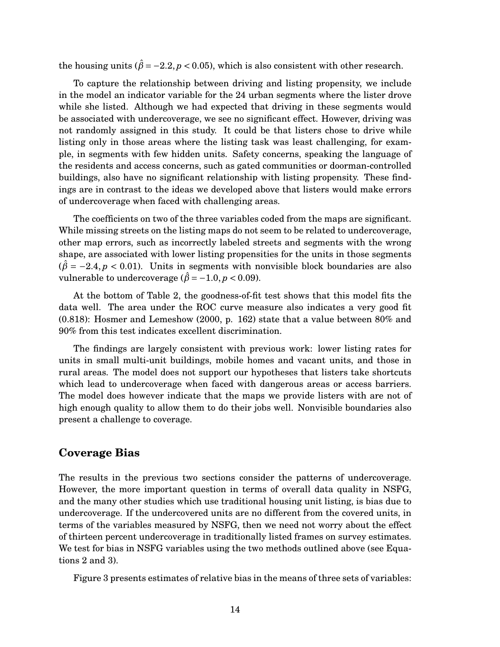the housing units ( $\hat{\beta} = -2.2$ ,  $p < 0.05$ ), which is also consistent with other research.

To capture the relationship between driving and listing propensity, we include in the model an indicator variable for the 24 urban segments where the lister drove while she listed. Although we had expected that driving in these segments would be associated with undercoverage, we see no significant effect. However, driving was not randomly assigned in this study. It could be that listers chose to drive while listing only in those areas where the listing task was least challenging, for example, in segments with few hidden units. Safety concerns, speaking the language of the residents and access concerns, such as gated communities or doorman-controlled buildings, also have no significant relationship with listing propensity. These findings are in contrast to the ideas we developed above that listers would make errors of undercoverage when faced with challenging areas.

The coefficients on two of the three variables coded from the maps are significant. While missing streets on the listing maps do not seem to be related to undercoverage, other map errors, such as incorrectly labeled streets and segments with the wrong shape, are associated with lower listing propensities for the units in those segments  $(\hat{\beta} = -2.4, p < 0.01)$ . Units in segments with nonvisible block boundaries are also vulnerable to undercoverage ( $\hat{\beta}$  = -1.0, *p* < 0.09).

At the bottom of Table 2, the goodness-of-fit test shows that this model fits the data well. The area under the ROC curve measure also indicates a very good fit (0.818): Hosmer and Lemeshow (2000, p. 162) state that a value between 80% and 90% from this test indicates excellent discrimination.

The findings are largely consistent with previous work: lower listing rates for units in small multi-unit buildings, mobile homes and vacant units, and those in rural areas. The model does not support our hypotheses that listers take shortcuts which lead to undercoverage when faced with dangerous areas or access barriers. The model does however indicate that the maps we provide listers with are not of high enough quality to allow them to do their jobs well. Nonvisible boundaries also present a challenge to coverage.

#### **Coverage Bias**

The results in the previous two sections consider the patterns of undercoverage. However, the more important question in terms of overall data quality in NSFG, and the many other studies which use traditional housing unit listing, is bias due to undercoverage. If the undercovered units are no different from the covered units, in terms of the variables measured by NSFG, then we need not worry about the effect of thirteen percent undercoverage in traditionally listed frames on survey estimates. We test for bias in NSFG variables using the two methods outlined above (see Equations 2 and 3).

Figure 3 presents estimates of relative bias in the means of three sets of variables: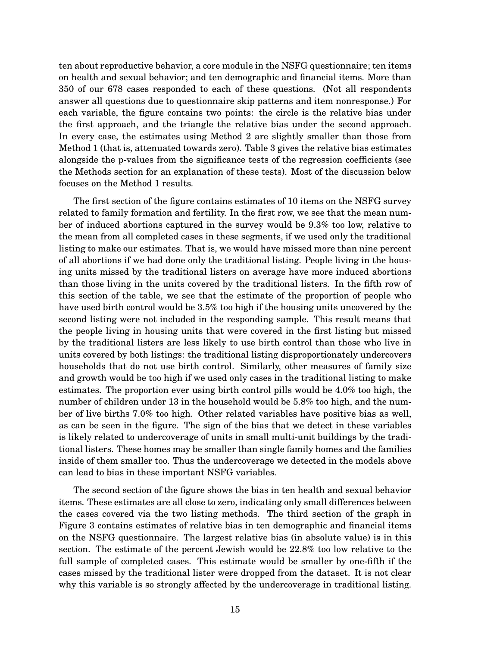ten about reproductive behavior, a core module in the NSFG questionnaire; ten items on health and sexual behavior; and ten demographic and financial items. More than 350 of our 678 cases responded to each of these questions. (Not all respondents answer all questions due to questionnaire skip patterns and item nonresponse.) For each variable, the figure contains two points: the circle is the relative bias under the first approach, and the triangle the relative bias under the second approach. In every case, the estimates using Method 2 are slightly smaller than those from Method 1 (that is, attenuated towards zero). Table 3 gives the relative bias estimates alongside the p-values from the significance tests of the regression coefficients (see the Methods section for an explanation of these tests). Most of the discussion below focuses on the Method 1 results.

The first section of the figure contains estimates of 10 items on the NSFG survey related to family formation and fertility. In the first row, we see that the mean number of induced abortions captured in the survey would be 9.3% too low, relative to the mean from all completed cases in these segments, if we used only the traditional listing to make our estimates. That is, we would have missed more than nine percent of all abortions if we had done only the traditional listing. People living in the housing units missed by the traditional listers on average have more induced abortions than those living in the units covered by the traditional listers. In the fifth row of this section of the table, we see that the estimate of the proportion of people who have used birth control would be 3.5% too high if the housing units uncovered by the second listing were not included in the responding sample. This result means that the people living in housing units that were covered in the first listing but missed by the traditional listers are less likely to use birth control than those who live in units covered by both listings: the traditional listing disproportionately undercovers households that do not use birth control. Similarly, other measures of family size and growth would be too high if we used only cases in the traditional listing to make estimates. The proportion ever using birth control pills would be 4.0% too high, the number of children under 13 in the household would be 5.8% too high, and the number of live births 7.0% too high. Other related variables have positive bias as well, as can be seen in the figure. The sign of the bias that we detect in these variables is likely related to undercoverage of units in small multi-unit buildings by the traditional listers. These homes may be smaller than single family homes and the families inside of them smaller too. Thus the undercoverage we detected in the models above can lead to bias in these important NSFG variables.

The second section of the figure shows the bias in ten health and sexual behavior items. These estimates are all close to zero, indicating only small differences between the cases covered via the two listing methods. The third section of the graph in Figure 3 contains estimates of relative bias in ten demographic and financial items on the NSFG questionnaire. The largest relative bias (in absolute value) is in this section. The estimate of the percent Jewish would be 22.8% too low relative to the full sample of completed cases. This estimate would be smaller by one-fifth if the cases missed by the traditional lister were dropped from the dataset. It is not clear why this variable is so strongly affected by the undercoverage in traditional listing.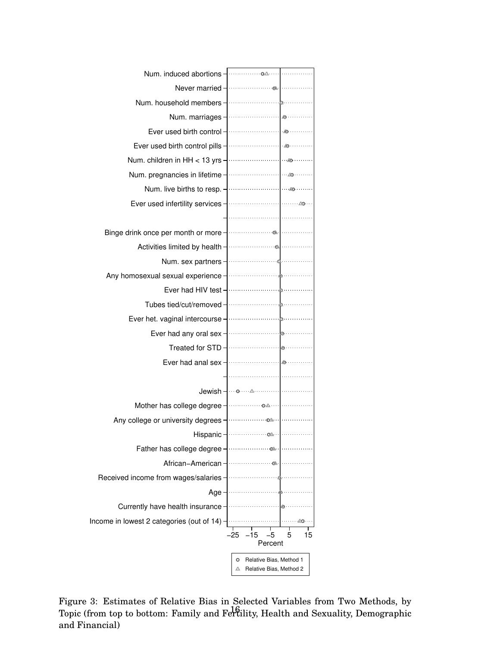| Num. induced abortions -                                                                                       | . <u>0A</u> .                                      |
|----------------------------------------------------------------------------------------------------------------|----------------------------------------------------|
| Never married - <b>Markthaw</b>                                                                                |                                                    |
| Num. household members -                                                                                       |                                                    |
| Num. marriages -                                                                                               | $\triangle$                                        |
| Ever used birth control -                                                                                      |                                                    |
| Ever used birth control pills -                                                                                |                                                    |
|                                                                                                                |                                                    |
| Num. pregnancies in lifetime -                                                                                 |                                                    |
| Num. live births to resp. -<br>                                                                                |                                                    |
| Ever used infertility services -                                                                               | . <u>.</u>                                         |
|                                                                                                                | . 1                                                |
| Binge drink once per month or more - <b>Figure 1</b>                                                           |                                                    |
| Activities limited by health - <b>Constanting</b>                                                              |                                                    |
| Num. sex partners -                                                                                            |                                                    |
| Any homosexual sexual experience - material sexual sexual sexual sexual sexual series and series and series se |                                                    |
| Ever had HIV test-                                                                                             |                                                    |
| Tubes tied/cut/removed -                                                                                       |                                                    |
| Ever het. vaginal intercourse -                                                                                |                                                    |
| Ever had any oral sex -                                                                                        |                                                    |
| Treated for STD -                                                                                              |                                                    |
| Ever had anal sex -                                                                                            | $\triangle$ .                                      |
|                                                                                                                |                                                    |
| Jewish – …⊙                                                                                                    | .                                                  |
| Mother has college degree -                                                                                    | . <u>o A</u>                                       |
| Any college or university degrees ·                                                                            | . <u>04</u> . .                                    |
| Hispanic                                                                                                       | $\sim$                                             |
| Father has college degree                                                                                      |                                                    |
| African-American                                                                                               | -Ch                                                |
| Received income from wages/salaries                                                                            |                                                    |
| Age                                                                                                            |                                                    |
| Currently have health insurance                                                                                |                                                    |
| Income in lowest 2 categories (out of 14)                                                                      |                                                    |
|                                                                                                                | -25<br>5<br>15<br>-15<br>5<br>Percent              |
|                                                                                                                | о                                                  |
|                                                                                                                | Relative Bias, Method 1<br>Relative Bias, Method 2 |

Figure 3: Estimates of Relative Bias in Selected Variables from Two Methods, by Topic (from top to bottom: Family and Fertility, Health and Sexuality, Demographic and Financial)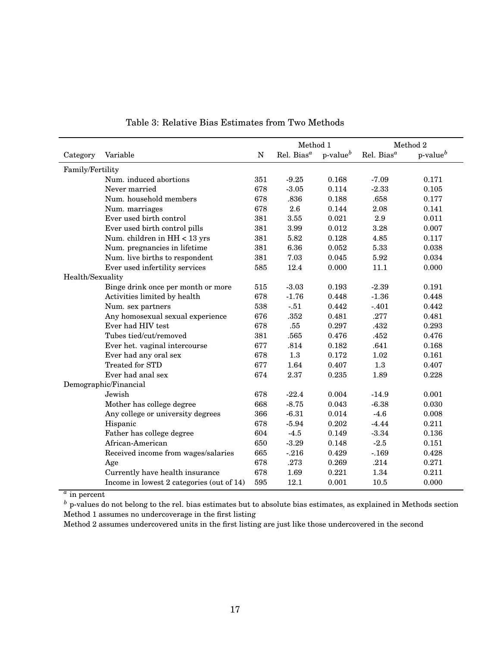|                       |                                           |     | Method 1       |                | Method 2       |                 |
|-----------------------|-------------------------------------------|-----|----------------|----------------|----------------|-----------------|
| Category              | Variable                                  | N   | Rel. Bias $^a$ | $p$ -value $b$ | Rel. Bias $^a$ | $p$ -value $^b$ |
| Family/Fertility      |                                           |     |                |                |                |                 |
|                       | Num. induced abortions                    | 351 | $-9.25$        | 0.168          | $-7.09$        | 0.171           |
|                       | Never married                             | 678 | $-3.05$        | 0.114          | $-2.33$        | 0.105           |
|                       | Num. household members                    | 678 | .836           | 0.188          | .658           | 0.177           |
|                       | Num. marriages                            | 678 | 2.6            | 0.144          | 2.08           | 0.141           |
|                       | Ever used birth control                   | 381 | 3.55           | 0.021          | 2.9            | 0.011           |
|                       | Ever used birth control pills             | 381 | 3.99           | 0.012          | 3.28           | 0.007           |
|                       | Num. children in HH < 13 yrs              | 381 | 5.82           | 0.128          | 4.85           | 0.117           |
|                       | Num. pregnancies in lifetime              | 381 | 6.36           | 0.052          | 5.33           | 0.038           |
|                       | Num. live births to respondent            | 381 | 7.03           | 0.045          | 5.92           | 0.034           |
|                       | Ever used infertility services            | 585 | 12.4           | 0.000          | 11.1           | 0.000           |
| Health/Sexuality      |                                           |     |                |                |                |                 |
|                       | Binge drink once per month or more        | 515 | $-3.03$        | 0.193          | $-2.39$        | 0.191           |
|                       | Activities limited by health              | 678 | $-1.76$        | 0.448          | $-1.36$        | 0.448           |
|                       | Num. sex partners                         | 538 | $-.51$         | 0.442          | $-.401$        | 0.442           |
|                       | Any homosexual sexual experience          | 676 | .352           | 0.481          | .277           | 0.481           |
|                       | Ever had HIV test                         | 678 | .55            | 0.297          | .432           | 0.293           |
|                       | Tubes tied/cut/removed                    | 381 | .565           | 0.476          | .452           | 0.476           |
|                       | Ever het. vaginal intercourse             | 677 | .814           | 0.182          | .641           | 0.168           |
|                       | Ever had any oral sex                     | 678 | 1.3            | 0.172          | 1.02           | 0.161           |
|                       | <b>Treated for STD</b>                    | 677 | 1.64           | 0.407          | 1.3            | 0.407           |
|                       | Ever had anal sex                         | 674 | 2.37           | 0.235          | 1.89           | 0.228           |
| Demographic/Financial |                                           |     |                |                |                |                 |
|                       | Jewish                                    | 678 | $-22.4$        | 0.004          | $-14.9$        | 0.001           |
|                       | Mother has college degree                 | 668 | $-8.75$        | 0.043          | $-6.38$        | 0.030           |
|                       | Any college or university degrees         | 366 | $-6.31$        | 0.014          | $-4.6$         | 0.008           |
|                       | Hispanic                                  | 678 | $-5.94$        | 0.202          | $-4.44$        | 0.211           |
|                       | Father has college degree                 | 604 | $-4.5$         | 0.149          | $-3.34$        | 0.136           |
|                       | African-American                          | 650 | $-3.29$        | 0.148          | $-2.5$         | 0.151           |
|                       | Received income from wages/salaries       | 665 | $-216$         | 0.429          | $-.169$        | 0.428           |
|                       | Age                                       | 678 | .273           | 0.269          | .214           | 0.271           |
|                       | Currently have health insurance           | 678 | 1.69           | 0.221          | 1.34           | 0.211           |
|                       | Income in lowest 2 categories (out of 14) | 595 | 12.1           | 0.001          | 10.5           | 0.000           |

Table 3: Relative Bias Estimates from Two Methods

*a* in percent

*b* p-values do not belong to the rel. bias estimates but to absolute bias estimates, as explained in Methods section Method 1 assumes no undercoverage in the first listing

Method 2 assumes undercovered units in the first listing are just like those undercovered in the second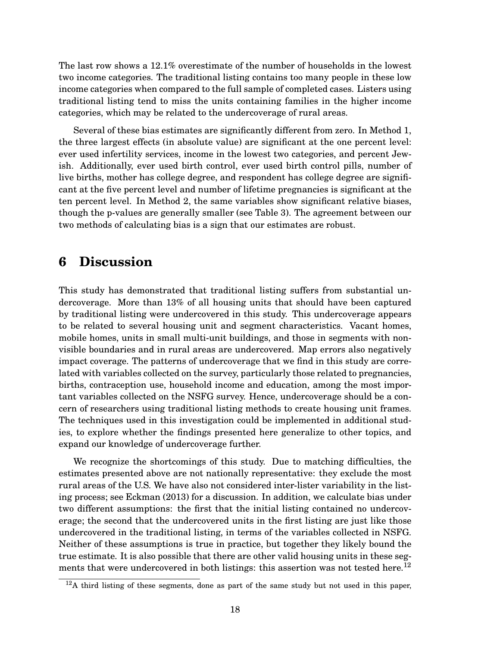The last row shows a 12.1% overestimate of the number of households in the lowest two income categories. The traditional listing contains too many people in these low income categories when compared to the full sample of completed cases. Listers using traditional listing tend to miss the units containing families in the higher income categories, which may be related to the undercoverage of rural areas.

Several of these bias estimates are significantly different from zero. In Method 1, the three largest effects (in absolute value) are significant at the one percent level: ever used infertility services, income in the lowest two categories, and percent Jewish. Additionally, ever used birth control, ever used birth control pills, number of live births, mother has college degree, and respondent has college degree are significant at the five percent level and number of lifetime pregnancies is significant at the ten percent level. In Method 2, the same variables show significant relative biases, though the p-values are generally smaller (see Table 3). The agreement between our two methods of calculating bias is a sign that our estimates are robust.

# **6 Discussion**

This study has demonstrated that traditional listing suffers from substantial undercoverage. More than 13% of all housing units that should have been captured by traditional listing were undercovered in this study. This undercoverage appears to be related to several housing unit and segment characteristics. Vacant homes, mobile homes, units in small multi-unit buildings, and those in segments with nonvisible boundaries and in rural areas are undercovered. Map errors also negatively impact coverage. The patterns of undercoverage that we find in this study are correlated with variables collected on the survey, particularly those related to pregnancies, births, contraception use, household income and education, among the most important variables collected on the NSFG survey. Hence, undercoverage should be a concern of researchers using traditional listing methods to create housing unit frames. The techniques used in this investigation could be implemented in additional studies, to explore whether the findings presented here generalize to other topics, and expand our knowledge of undercoverage further.

We recognize the shortcomings of this study. Due to matching difficulties, the estimates presented above are not nationally representative: they exclude the most rural areas of the U.S. We have also not considered inter-lister variability in the listing process; see Eckman (2013) for a discussion. In addition, we calculate bias under two different assumptions: the first that the initial listing contained no undercoverage; the second that the undercovered units in the first listing are just like those undercovered in the traditional listing, in terms of the variables collected in NSFG. Neither of these assumptions is true in practice, but together they likely bound the true estimate. It is also possible that there are other valid housing units in these segments that were undercovered in both listings: this assertion was not tested here.<sup>12</sup>

 $12A$  third listing of these segments, done as part of the same study but not used in this paper,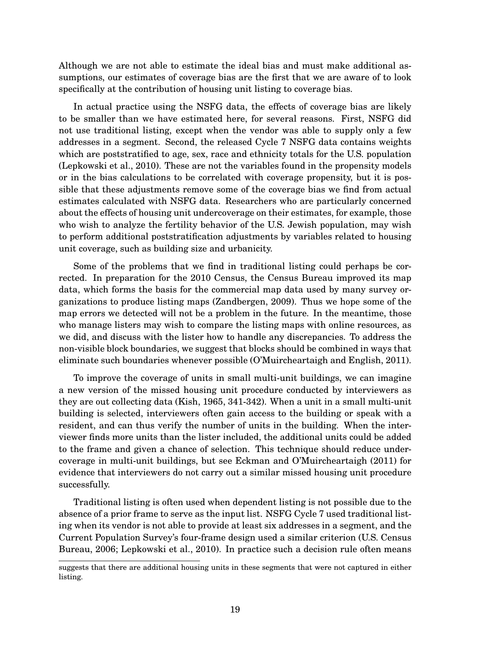Although we are not able to estimate the ideal bias and must make additional assumptions, our estimates of coverage bias are the first that we are aware of to look specifically at the contribution of housing unit listing to coverage bias.

In actual practice using the NSFG data, the effects of coverage bias are likely to be smaller than we have estimated here, for several reasons. First, NSFG did not use traditional listing, except when the vendor was able to supply only a few addresses in a segment. Second, the released Cycle 7 NSFG data contains weights which are poststratified to age, sex, race and ethnicity totals for the U.S. population (Lepkowski et al., 2010). These are not the variables found in the propensity models or in the bias calculations to be correlated with coverage propensity, but it is possible that these adjustments remove some of the coverage bias we find from actual estimates calculated with NSFG data. Researchers who are particularly concerned about the effects of housing unit undercoverage on their estimates, for example, those who wish to analyze the fertility behavior of the U.S. Jewish population, may wish to perform additional poststratification adjustments by variables related to housing unit coverage, such as building size and urbanicity.

Some of the problems that we find in traditional listing could perhaps be corrected. In preparation for the 2010 Census, the Census Bureau improved its map data, which forms the basis for the commercial map data used by many survey organizations to produce listing maps (Zandbergen, 2009). Thus we hope some of the map errors we detected will not be a problem in the future. In the meantime, those who manage listers may wish to compare the listing maps with online resources, as we did, and discuss with the lister how to handle any discrepancies. To address the non-visible block boundaries, we suggest that blocks should be combined in ways that eliminate such boundaries whenever possible (O'Muircheartaigh and English, 2011).

To improve the coverage of units in small multi-unit buildings, we can imagine a new version of the missed housing unit procedure conducted by interviewers as they are out collecting data (Kish, 1965, 341-342). When a unit in a small multi-unit building is selected, interviewers often gain access to the building or speak with a resident, and can thus verify the number of units in the building. When the interviewer finds more units than the lister included, the additional units could be added to the frame and given a chance of selection. This technique should reduce undercoverage in multi-unit buildings, but see Eckman and O'Muircheartaigh (2011) for evidence that interviewers do not carry out a similar missed housing unit procedure successfully.

Traditional listing is often used when dependent listing is not possible due to the absence of a prior frame to serve as the input list. NSFG Cycle 7 used traditional listing when its vendor is not able to provide at least six addresses in a segment, and the Current Population Survey's four-frame design used a similar criterion (U.S. Census Bureau, 2006; Lepkowski et al., 2010). In practice such a decision rule often means

suggests that there are additional housing units in these segments that were not captured in either listing.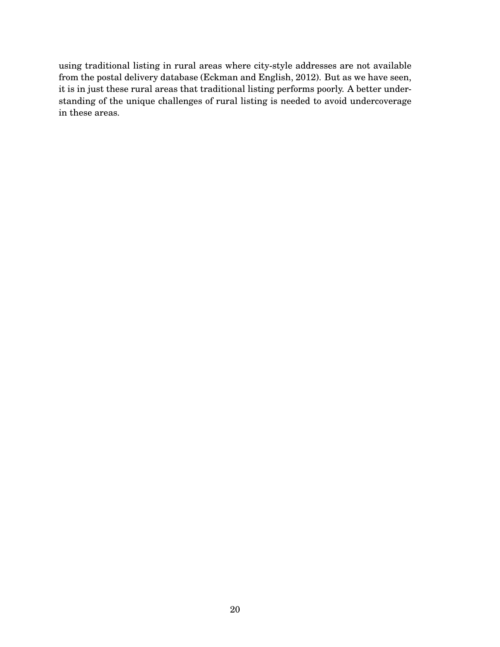using traditional listing in rural areas where city-style addresses are not available from the postal delivery database (Eckman and English, 2012). But as we have seen, it is in just these rural areas that traditional listing performs poorly. A better understanding of the unique challenges of rural listing is needed to avoid undercoverage in these areas.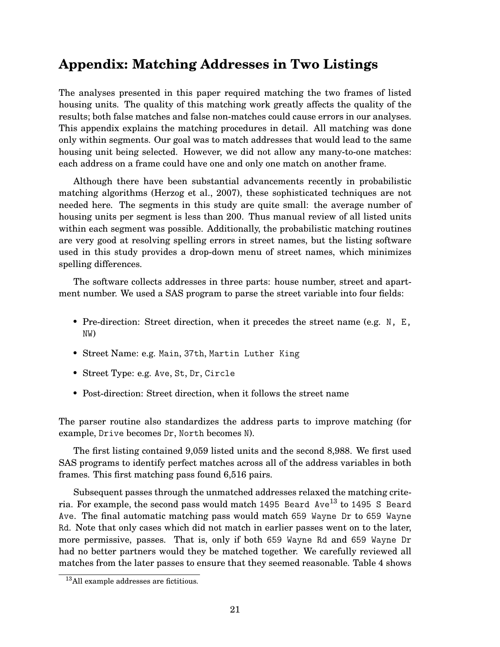# **Appendix: Matching Addresses in Two Listings**

The analyses presented in this paper required matching the two frames of listed housing units. The quality of this matching work greatly affects the quality of the results; both false matches and false non-matches could cause errors in our analyses. This appendix explains the matching procedures in detail. All matching was done only within segments. Our goal was to match addresses that would lead to the same housing unit being selected. However, we did not allow any many-to-one matches: each address on a frame could have one and only one match on another frame.

Although there have been substantial advancements recently in probabilistic matching algorithms (Herzog et al., 2007), these sophisticated techniques are not needed here. The segments in this study are quite small: the average number of housing units per segment is less than 200. Thus manual review of all listed units within each segment was possible. Additionally, the probabilistic matching routines are very good at resolving spelling errors in street names, but the listing software used in this study provides a drop-down menu of street names, which minimizes spelling differences.

The software collects addresses in three parts: house number, street and apartment number. We used a SAS program to parse the street variable into four fields:

- Pre-direction: Street direction, when it precedes the street name (e.g. N, E, NW)
- Street Name: e.g. Main, 37th, Martin Luther King
- Street Type: e.g. Ave, St, Dr, Circle
- Post-direction: Street direction, when it follows the street name

The parser routine also standardizes the address parts to improve matching (for example, Drive becomes Dr, North becomes N).

The first listing contained 9,059 listed units and the second 8,988. We first used SAS programs to identify perfect matches across all of the address variables in both frames. This first matching pass found 6,516 pairs.

Subsequent passes through the unmatched addresses relaxed the matching criteria. For example, the second pass would match 1495 Beard Ave<sup>13</sup> to 1495 S Beard Ave. The final automatic matching pass would match 659 Wayne Dr to 659 Wayne Rd. Note that only cases which did not match in earlier passes went on to the later, more permissive, passes. That is, only if both 659 Wayne Rd and 659 Wayne Dr had no better partners would they be matched together. We carefully reviewed all matches from the later passes to ensure that they seemed reasonable. Table 4 shows

<sup>13</sup>All example addresses are fictitious.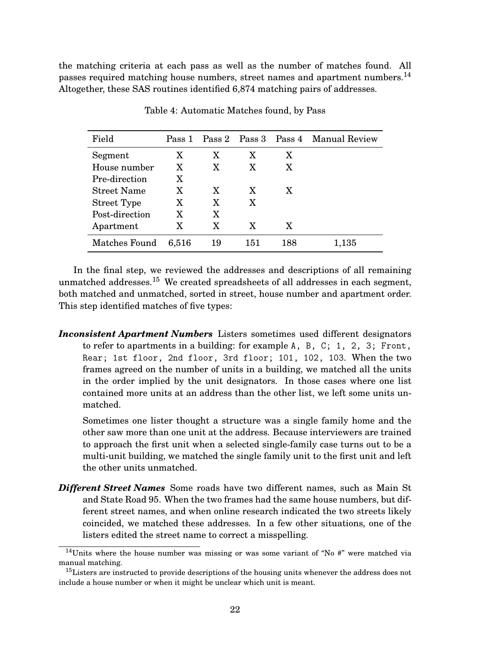the matching criteria at each pass as well as the number of matches found. All passes required matching house numbers, street names and apartment numbers.<sup>14</sup> Altogether, these SAS routines identified 6,874 matching pairs of addresses.

| Field              | Pass 1 |    |     |     | Pass 2 Pass 3 Pass 4 Manual Review |
|--------------------|--------|----|-----|-----|------------------------------------|
| Segment            | X      | X  | X   | X   |                                    |
| House number       | X      | X  | X   | X   |                                    |
| Pre-direction      | X      |    |     |     |                                    |
| <b>Street Name</b> | X      | X  | X   | X   |                                    |
| Street Type        | X      | X  | X   |     |                                    |
| Post-direction     | X      | X  |     |     |                                    |
| Apartment          | X      | X  | X   | X   |                                    |
| Matches Found      | 6,516  | 19 | 151 | 188 | 1,135                              |

Table 4: Automatic Matches found, by Pass

In the final step, we reviewed the addresses and descriptions of all remaining unmatched addresses.<sup>15</sup> We created spreadsheets of all addresses in each segment, both matched and unmatched, sorted in street, house number and apartment order. This step identified matches of five types:

*Inconsistent Apartment Numbers* Listers sometimes used different designators to refer to apartments in a building: for example A, B, C; 1, 2, 3; Front, Rear; 1st floor, 2nd floor, 3rd floor; 101, 102, 103. When the two frames agreed on the number of units in a building, we matched all the units in the order implied by the unit designators. In those cases where one list contained more units at an address than the other list, we left some units unmatched.

Sometimes one lister thought a structure was a single family home and the other saw more than one unit at the address. Because interviewers are trained to approach the first unit when a selected single-family case turns out to be a multi-unit building, we matched the single family unit to the first unit and left the other units unmatched.

*Different Street Names* Some roads have two different names, such as Main St and State Road 95. When the two frames had the same house numbers, but different street names, and when online research indicated the two streets likely coincided, we matched these addresses. In a few other situations, one of the listers edited the street name to correct a misspelling.

 $14$ Units where the house number was missing or was some variant of "No  $\#$ " were matched via manual matching.

<sup>&</sup>lt;sup>15</sup>Listers are instructed to provide descriptions of the housing units whenever the address does not include a house number or when it might be unclear which unit is meant.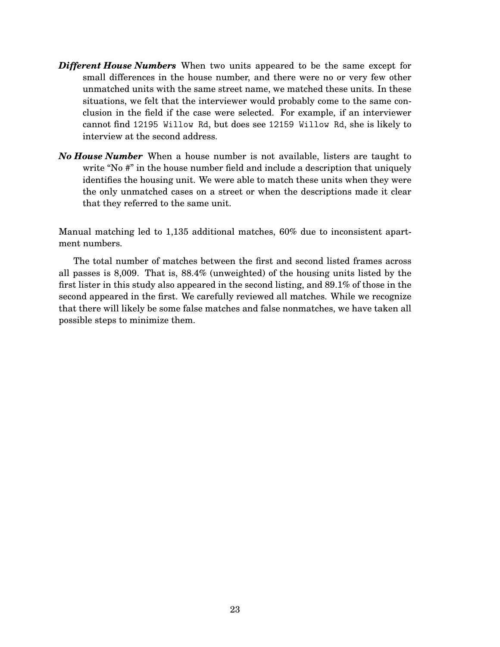- *Different House Numbers* When two units appeared to be the same except for small differences in the house number, and there were no or very few other unmatched units with the same street name, we matched these units. In these situations, we felt that the interviewer would probably come to the same conclusion in the field if the case were selected. For example, if an interviewer cannot find 12195 Willow Rd, but does see 12159 Willow Rd, she is likely to interview at the second address.
- *No House Number* When a house number is not available, listers are taught to write "No #" in the house number field and include a description that uniquely identifies the housing unit. We were able to match these units when they were the only unmatched cases on a street or when the descriptions made it clear that they referred to the same unit.

Manual matching led to 1,135 additional matches, 60% due to inconsistent apartment numbers.

The total number of matches between the first and second listed frames across all passes is 8,009. That is, 88.4% (unweighted) of the housing units listed by the first lister in this study also appeared in the second listing, and 89.1% of those in the second appeared in the first. We carefully reviewed all matches. While we recognize that there will likely be some false matches and false nonmatches, we have taken all possible steps to minimize them.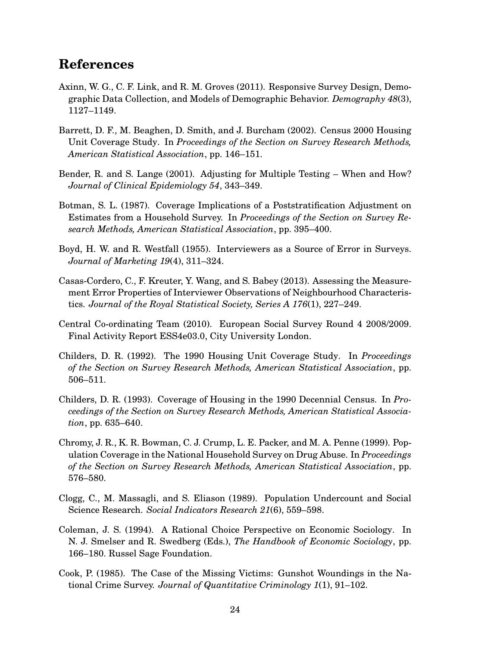# **References**

- Axinn, W. G., C. F. Link, and R. M. Groves (2011). Responsive Survey Design, Demographic Data Collection, and Models of Demographic Behavior. *Demography 48*(3), 1127–1149.
- Barrett, D. F., M. Beaghen, D. Smith, and J. Burcham (2002). Census 2000 Housing Unit Coverage Study. In *Proceedings of the Section on Survey Research Methods, American Statistical Association*, pp. 146–151.
- Bender, R. and S. Lange (2001). Adjusting for Multiple Testing When and How? *Journal of Clinical Epidemiology 54*, 343–349.
- Botman, S. L. (1987). Coverage Implications of a Poststratification Adjustment on Estimates from a Household Survey. In *Proceedings of the Section on Survey Research Methods, American Statistical Association*, pp. 395–400.
- Boyd, H. W. and R. Westfall (1955). Interviewers as a Source of Error in Surveys. *Journal of Marketing 19*(4), 311–324.
- Casas-Cordero, C., F. Kreuter, Y. Wang, and S. Babey (2013). Assessing the Measurement Error Properties of Interviewer Observations of Neighbourhood Characteristics. *Journal of the Royal Statistical Society, Series A 176*(1), 227–249.
- Central Co-ordinating Team (2010). European Social Survey Round 4 2008/2009. Final Activity Report ESS4e03.0, City University London.
- Childers, D. R. (1992). The 1990 Housing Unit Coverage Study. In *Proceedings of the Section on Survey Research Methods, American Statistical Association*, pp. 506–511.
- Childers, D. R. (1993). Coverage of Housing in the 1990 Decennial Census. In *Proceedings of the Section on Survey Research Methods, American Statistical Association*, pp. 635–640.
- Chromy, J. R., K. R. Bowman, C. J. Crump, L. E. Packer, and M. A. Penne (1999). Population Coverage in the National Household Survey on Drug Abuse. In *Proceedings of the Section on Survey Research Methods, American Statistical Association*, pp. 576–580.
- Clogg, C., M. Massagli, and S. Eliason (1989). Population Undercount and Social Science Research. *Social Indicators Research 21*(6), 559–598.
- Coleman, J. S. (1994). A Rational Choice Perspective on Economic Sociology. In N. J. Smelser and R. Swedberg (Eds.), *The Handbook of Economic Sociology*, pp. 166–180. Russel Sage Foundation.
- Cook, P. (1985). The Case of the Missing Victims: Gunshot Woundings in the National Crime Survey. *Journal of Quantitative Criminology 1*(1), 91–102.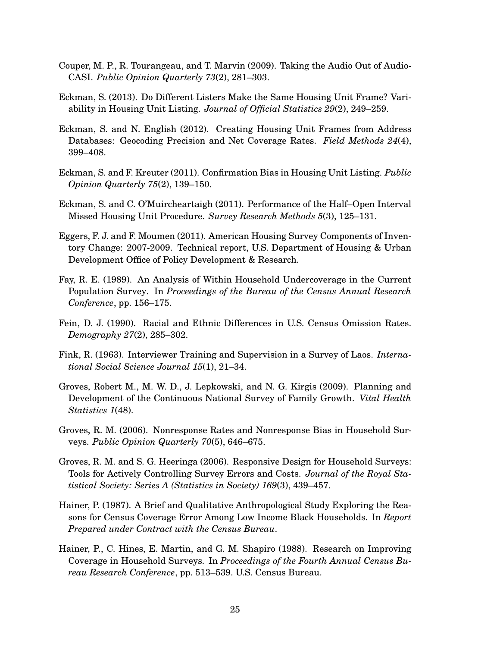- Couper, M. P., R. Tourangeau, and T. Marvin (2009). Taking the Audio Out of Audio-CASI. *Public Opinion Quarterly 73*(2), 281–303.
- Eckman, S. (2013). Do Different Listers Make the Same Housing Unit Frame? Variability in Housing Unit Listing. *Journal of Official Statistics 29*(2), 249–259.
- Eckman, S. and N. English (2012). Creating Housing Unit Frames from Address Databases: Geocoding Precision and Net Coverage Rates. *Field Methods 24*(4), 399–408.
- Eckman, S. and F. Kreuter (2011). Confirmation Bias in Housing Unit Listing. *Public Opinion Quarterly 75*(2), 139–150.
- Eckman, S. and C. O'Muircheartaigh (2011). Performance of the Half–Open Interval Missed Housing Unit Procedure. *Survey Research Methods 5*(3), 125–131.
- Eggers, F. J. and F. Moumen (2011). American Housing Survey Components of Inventory Change: 2007-2009. Technical report, U.S. Department of Housing & Urban Development Office of Policy Development & Research.
- Fay, R. E. (1989). An Analysis of Within Household Undercoverage in the Current Population Survey. In *Proceedings of the Bureau of the Census Annual Research Conference*, pp. 156–175.
- Fein, D. J. (1990). Racial and Ethnic Differences in U.S. Census Omission Rates. *Demography 27*(2), 285–302.
- Fink, R. (1963). Interviewer Training and Supervision in a Survey of Laos. *International Social Science Journal 15*(1), 21–34.
- Groves, Robert M., M. W. D., J. Lepkowski, and N. G. Kirgis (2009). Planning and Development of the Continuous National Survey of Family Growth. *Vital Health Statistics 1*(48).
- Groves, R. M. (2006). Nonresponse Rates and Nonresponse Bias in Household Surveys. *Public Opinion Quarterly 70*(5), 646–675.
- Groves, R. M. and S. G. Heeringa (2006). Responsive Design for Household Surveys: Tools for Actively Controlling Survey Errors and Costs. *Journal of the Royal Statistical Society: Series A (Statistics in Society) 169*(3), 439–457.
- Hainer, P. (1987). A Brief and Qualitative Anthropological Study Exploring the Reasons for Census Coverage Error Among Low Income Black Households. In *Report Prepared under Contract with the Census Bureau*.
- Hainer, P., C. Hines, E. Martin, and G. M. Shapiro (1988). Research on Improving Coverage in Household Surveys. In *Proceedings of the Fourth Annual Census Bureau Research Conference*, pp. 513–539. U.S. Census Bureau.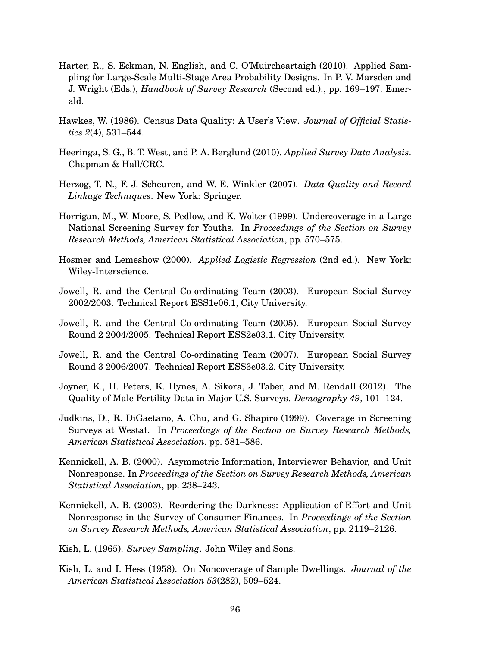- Harter, R., S. Eckman, N. English, and C. O'Muircheartaigh (2010). Applied Sampling for Large-Scale Multi-Stage Area Probability Designs. In P. V. Marsden and J. Wright (Eds.), *Handbook of Survey Research* (Second ed.)., pp. 169–197. Emerald.
- Hawkes, W. (1986). Census Data Quality: A User's View. *Journal of Official Statistics 2*(4), 531–544.
- Heeringa, S. G., B. T. West, and P. A. Berglund (2010). *Applied Survey Data Analysis*. Chapman & Hall/CRC.
- Herzog, T. N., F. J. Scheuren, and W. E. Winkler (2007). *Data Quality and Record Linkage Techniques*. New York: Springer.
- Horrigan, M., W. Moore, S. Pedlow, and K. Wolter (1999). Undercoverage in a Large National Screening Survey for Youths. In *Proceedings of the Section on Survey Research Methods, American Statistical Association*, pp. 570–575.
- Hosmer and Lemeshow (2000). *Applied Logistic Regression* (2nd ed.). New York: Wiley-Interscience.
- Jowell, R. and the Central Co-ordinating Team (2003). European Social Survey 2002/2003. Technical Report ESS1e06.1, City University.
- Jowell, R. and the Central Co-ordinating Team (2005). European Social Survey Round 2 2004/2005. Technical Report ESS2e03.1, City University.
- Jowell, R. and the Central Co-ordinating Team (2007). European Social Survey Round 3 2006/2007. Technical Report ESS3e03.2, City University.
- Joyner, K., H. Peters, K. Hynes, A. Sikora, J. Taber, and M. Rendall (2012). The Quality of Male Fertility Data in Major U.S. Surveys. *Demography 49*, 101–124.
- Judkins, D., R. DiGaetano, A. Chu, and G. Shapiro (1999). Coverage in Screening Surveys at Westat. In *Proceedings of the Section on Survey Research Methods, American Statistical Association*, pp. 581–586.
- Kennickell, A. B. (2000). Asymmetric Information, Interviewer Behavior, and Unit Nonresponse. In *Proceedings of the Section on Survey Research Methods, American Statistical Association*, pp. 238–243.
- Kennickell, A. B. (2003). Reordering the Darkness: Application of Effort and Unit Nonresponse in the Survey of Consumer Finances. In *Proceedings of the Section on Survey Research Methods, American Statistical Association*, pp. 2119–2126.
- Kish, L. (1965). *Survey Sampling*. John Wiley and Sons.
- Kish, L. and I. Hess (1958). On Noncoverage of Sample Dwellings. *Journal of the American Statistical Association 53*(282), 509–524.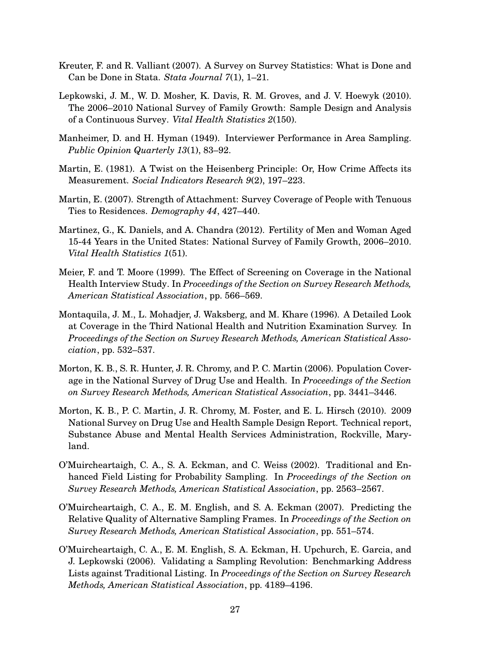- Kreuter, F. and R. Valliant (2007). A Survey on Survey Statistics: What is Done and Can be Done in Stata. *Stata Journal 7*(1), 1–21.
- Lepkowski, J. M., W. D. Mosher, K. Davis, R. M. Groves, and J. V. Hoewyk (2010). The 2006–2010 National Survey of Family Growth: Sample Design and Analysis of a Continuous Survey. *Vital Health Statistics 2*(150).
- Manheimer, D. and H. Hyman (1949). Interviewer Performance in Area Sampling. *Public Opinion Quarterly 13*(1), 83–92.
- Martin, E. (1981). A Twist on the Heisenberg Principle: Or, How Crime Affects its Measurement. *Social Indicators Research 9*(2), 197–223.
- Martin, E. (2007). Strength of Attachment: Survey Coverage of People with Tenuous Ties to Residences. *Demography 44*, 427–440.
- Martinez, G., K. Daniels, and A. Chandra (2012). Fertility of Men and Woman Aged 15-44 Years in the United States: National Survey of Family Growth, 2006–2010. *Vital Health Statistics 1*(51).
- Meier, F. and T. Moore (1999). The Effect of Screening on Coverage in the National Health Interview Study. In *Proceedings of the Section on Survey Research Methods, American Statistical Association*, pp. 566–569.
- Montaquila, J. M., L. Mohadjer, J. Waksberg, and M. Khare (1996). A Detailed Look at Coverage in the Third National Health and Nutrition Examination Survey. In *Proceedings of the Section on Survey Research Methods, American Statistical Association*, pp. 532–537.
- Morton, K. B., S. R. Hunter, J. R. Chromy, and P. C. Martin (2006). Population Coverage in the National Survey of Drug Use and Health. In *Proceedings of the Section on Survey Research Methods, American Statistical Association*, pp. 3441–3446.
- Morton, K. B., P. C. Martin, J. R. Chromy, M. Foster, and E. L. Hirsch (2010). 2009 National Survey on Drug Use and Health Sample Design Report. Technical report, Substance Abuse and Mental Health Services Administration, Rockville, Maryland.
- O'Muircheartaigh, C. A., S. A. Eckman, and C. Weiss (2002). Traditional and Enhanced Field Listing for Probability Sampling. In *Proceedings of the Section on Survey Research Methods, American Statistical Association*, pp. 2563–2567.
- O'Muircheartaigh, C. A., E. M. English, and S. A. Eckman (2007). Predicting the Relative Quality of Alternative Sampling Frames. In *Proceedings of the Section on Survey Research Methods, American Statistical Association*, pp. 551–574.
- O'Muircheartaigh, C. A., E. M. English, S. A. Eckman, H. Upchurch, E. Garcia, and J. Lepkowski (2006). Validating a Sampling Revolution: Benchmarking Address Lists against Traditional Listing. In *Proceedings of the Section on Survey Research Methods, American Statistical Association*, pp. 4189–4196.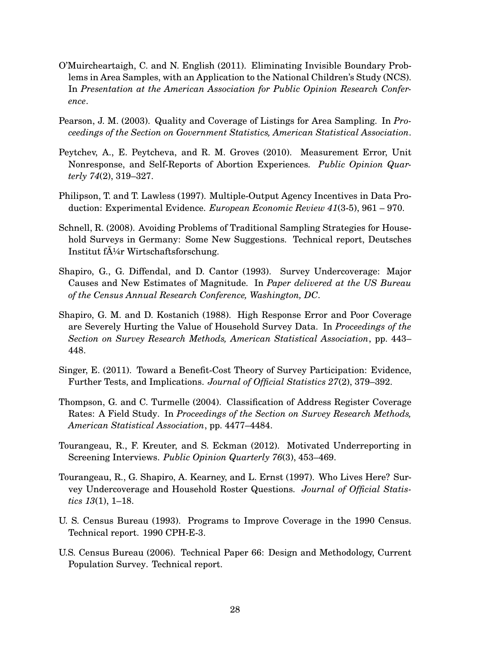- O'Muircheartaigh, C. and N. English (2011). Eliminating Invisible Boundary Problems in Area Samples, with an Application to the National Children's Study (NCS). In *Presentation at the American Association for Public Opinion Research Conference*.
- Pearson, J. M. (2003). Quality and Coverage of Listings for Area Sampling. In *Proceedings of the Section on Government Statistics, American Statistical Association*.
- Peytchev, A., E. Peytcheva, and R. M. Groves (2010). Measurement Error, Unit Nonresponse, and Self-Reports of Abortion Experiences. *Public Opinion Quarterly 74*(2), 319–327.
- Philipson, T. and T. Lawless (1997). Multiple-Output Agency Incentives in Data Production: Experimental Evidence. *European Economic Review 41*(3-5), 961 – 970.
- Schnell, R. (2008). Avoiding Problems of Traditional Sampling Strategies for Household Surveys in Germany: Some New Suggestions. Technical report, Deutsches Institut f $\ddot{A}$ <sup>1</sup>/<sub>4</sub>r Wirtschaftsforschung.
- Shapiro, G., G. Diffendal, and D. Cantor (1993). Survey Undercoverage: Major Causes and New Estimates of Magnitude. In *Paper delivered at the US Bureau of the Census Annual Research Conference, Washington, DC*.
- Shapiro, G. M. and D. Kostanich (1988). High Response Error and Poor Coverage are Severely Hurting the Value of Household Survey Data. In *Proceedings of the Section on Survey Research Methods, American Statistical Association*, pp. 443– 448.
- Singer, E. (2011). Toward a Benefit-Cost Theory of Survey Participation: Evidence, Further Tests, and Implications. *Journal of Official Statistics 27*(2), 379–392.
- Thompson, G. and C. Turmelle (2004). Classification of Address Register Coverage Rates: A Field Study. In *Proceedings of the Section on Survey Research Methods, American Statistical Association*, pp. 4477–4484.
- Tourangeau, R., F. Kreuter, and S. Eckman (2012). Motivated Underreporting in Screening Interviews. *Public Opinion Quarterly 76*(3), 453–469.
- Tourangeau, R., G. Shapiro, A. Kearney, and L. Ernst (1997). Who Lives Here? Survey Undercoverage and Household Roster Questions. *Journal of Official Statistics 13*(1), 1–18.
- U. S. Census Bureau (1993). Programs to Improve Coverage in the 1990 Census. Technical report. 1990 CPH-E-3.
- U.S. Census Bureau (2006). Technical Paper 66: Design and Methodology, Current Population Survey. Technical report.